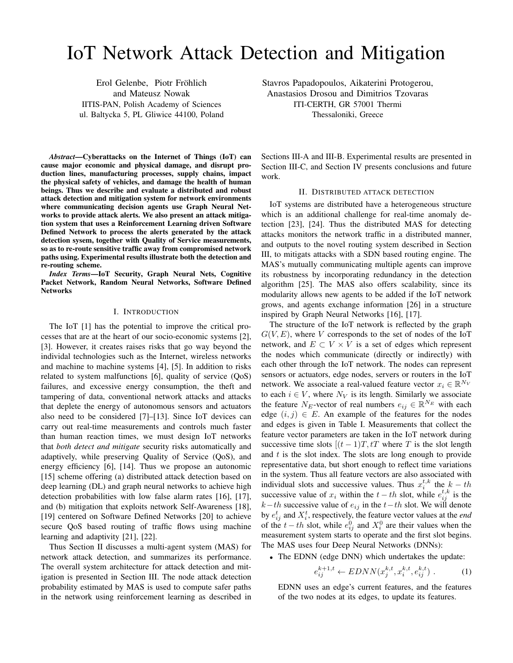# IoT Network Attack Detection and Mitigation

Erol Gelenbe, Piotr Fröhlich and Mateusz Nowak IITIS-PAN, Polish Academy of Sciences ul. Baltycka 5, PL Gliwice 44100, Poland

*Abstract*—Cyberattacks on the Internet of Things (IoT) can cause major economic and physical damage, and disrupt production lines, manufacturing processes, supply chains, impact the physical safety of vehicles, and damage the health of human beings. Thus we describe and evaluate a distributed and robust attack detection and mitigation system for network environments where communicating decision agents use Graph Neural Networks to provide attack alerts. We also present an attack mitigation system that uses a Reinforcement Learning driven Software Defined Network to process the alerts generated by the attack detection sysem, together with Quality of Service measurements, so as to re-route sensitive traffic away from compromised network paths using. Experimental results illustrate both the detection and re-routing scheme.

*Index Terms*—IoT Security, Graph Neural Nets, Cognitive Packet Network, Random Neural Networks, Software Defined Networks

### I. INTRODUCTION

The IoT [1] has the potential to improve the critical processes that are at the heart of our socio-economic systems [2], [3]. However, it creates raises risks that go way beyond the individal technologies such as the Internet, wireless networks and machine to machine systems [4], [5]. In addition to risks related to system malfunctions [6], quality of service (QoS) failures, and excessive energy consumption, the theft and tampering of data, conventional network attacks and attacks that deplete the energy of autonomous sensors and actuators also need to be considered [7]–[13]. Since IoT devices can carry out real-time measurements and controls much faster than human reaction times, we must design IoT networks that *both detect and mitigate* security risks automatically and adaptively, while preserving Quality of Service (QoS), and energy efficiency [6], [14]. Thus we propose an autonomic [15] scheme offering (a) distributed attack detection based on deep learning (DL) and graph neural networks to achieve high detection probabilities with low false alarm rates [16], [17], and (b) mitigation that exploits network Self-Awareness [18], [19] centered on Software Defined Networks [20] to achieve secure QoS based routing of traffic flows using machine learning and adaptivity [21], [22].

Thus Section II discusses a multi-agent system (MAS) for network attack detection, and summarizes its performance. The overall system architecture for attack detection and mitigation is presented in Section III. The node attack detection probability estimated by MAS is used to compute safer paths in the network using reinforcement learning as described in Stavros Papadopoulos, Aikaterini Protogerou, Anastasios Drosou and Dimitrios Tzovaras ITI-CERTH, GR 57001 Thermi Thessaloniki, Greece

Sections III-A and III-B. Experimental results are presented in Section III-C, and Section IV presents conclusions and future work.

## II. DISTRIBUTED ATTACK DETECTION

IoT systems are distributed have a heterogeneous structure which is an additional challenge for real-time anomaly detection [23], [24]. Thus the distributed MAS for detecting attacks monitors the network traffic in a distributed manner, and outputs to the novel routing system described in Section III, to mitigats attacks with a SDN based routing engine. The MAS's mutually communicating multiple agents can improve its robustness by incorporating redundancy in the detection algorithm [25]. The MAS also offers scalability, since its modularity allows new agents to be added if the IoT network grows, and agents exchange information [26] in a structure inspired by Graph Neural Networks [16], [17].

The structure of the IoT network is reflected by the graph  $G(V, E)$ , where V corresponds to the set of nodes of the IoT network, and  $E \subset V \times V$  is a set of edges which represent the nodes which communicate (directly or indirectly) with each other through the IoT network. The nodes can represent sensors or actuators, edge nodes, servers or routers in the IoT network. We associate a real-valued feature vector  $x_i \in \mathbb{R}^{N_V}$ to each  $i \in V$ , where  $N_V$  is its length. Similarly we associate the feature N<sub>E</sub>-vector of real numbers  $e_{ij} \in \mathbb{R}^{N_E}$  with each edge  $(i, j) \in E$ . An example of the features for the nodes and edges is given in Table I. Measurements that collect the feature vector parameters are taken in the IoT network during successive time slots  $[(t-1)T, tT]$  where T is the slot length and  $t$  is the slot index. The slots are long enough to provide representative data, but short enough to reflect time variations in the system. Thus all feature vectors are also associated with individual slots and successive values. Thus  $x_i^{t,k}$  the  $k-th$ successive value of  $x_i$  within the  $t-th$  slot, while  $e^{t,k}_{ij}$  is the  $k-th$  successive value of  $e_{ij}$  in the  $t-th$  slot. We will denote by  $e_{ij}^t$  and  $X_i^t$ , respectively, the feature vector values at the *end* of the  $t - th$  slot, while  $e_{ij}^0$  and  $X_i^0$  are their values when the measurement system starts to operate and the first slot begins. The MAS uses four Deep Neural Networks (DNNs):

• The EDNN (edge DNN) which undertakes the update:

$$
e_{ij}^{k+1,t} \leftarrow EDNN(x_j^{k,t}, x_i^{k,t}, e_{ij}^{k,t}) \ . \tag{1}
$$

EDNN uses an edge's current features, and the features of the two nodes at its edges, to update its features.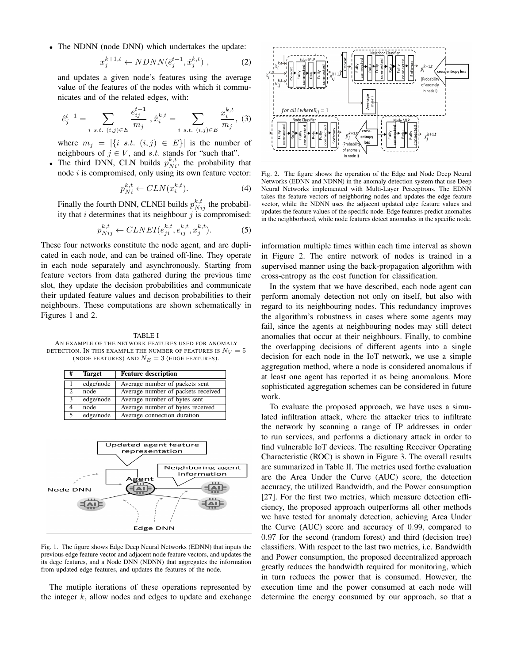• The NDNN (node DNN) which undertakes the update:

$$
x_j^{k+1,t} \leftarrow N DNN(\hat{e}_j^{t-1}, \hat{x}_j^{k,t}) \,, \tag{2}
$$

and updates a given node's features using the average value of the features of the nodes with which it communicates and of the related edges, with:

$$
\hat{e}_j^{t-1} = \sum_{i \ s.t. \ (i,j) \in E} \frac{e_{ij}^{t-1}}{m_j}, \hat{x}_i^{k,t} = \sum_{i \ s.t. \ (i,j) \in E} \frac{x_i^{k,t}}{m_j}, \ (3)
$$

where  $m_j = |\{i \text{ s.t. } (i,j) \in E\}|$  is the number of neighbours of  $j \in V$ , and s.t. stands for "such that".

• The third DNN, CLN builds  $p_{Ni}^{k,t}$ , the probability that node  $i$  is compromised, only using its own feature vector:

$$
p_{Ni}^{k,t} \leftarrow CLN(x_i^{k,t}).\tag{4}
$$

Finally the fourth DNN, CLNEI builds  $p_{Nij}^{k,t}$  the probability that  $i$  determines that its neighbour  $j$  is compromised:

$$
p_{Nij}^{k,t} \leftarrow CLNEI(e_{ji}^{k,t}, e_{ij}^{k,t}, x_j^{k,t}).\tag{5}
$$

These four networks constitute the node agent, and are duplicated in each node, and can be trained off-line. They operate in each node separately and asynchronously. Starting from feature vectors from data gathered during the previous time slot, they update the decision probabilities and communicate their updated feature values and decison probabilities to their neighbours. These computations are shown schematically in Figures 1 and 2.

TABLE I AN EXAMPLE OF THE NETWORK FEATURES USED FOR ANOMALY DETECTION. IN THIS EXAMPLE THE NUMBER OF FEATURES IS  $N_V = 5$ (NODE FEATURES) AND  $N_E = 3$  (EDGE FEATURES).

| # | <b>Target</b> | <b>Feature description</b>         |
|---|---------------|------------------------------------|
|   | edge/node     | Average number of packets sent     |
| 2 | node          | Average number of packets received |
| 3 | edge/node     | Average number of bytes sent       |
| 4 | node          | Average number of bytes received   |
| 5 | edge/node     | Average connection duration        |



Fig. 1. The figure shows Edge Deep Neural Networks (EDNN) that inputs the previous edge feature vector and adjacent node feature vectors, and updates the its dege features, and a Node DNN (NDNN) that aggregates the information from updated edge features, and updates the features of the node.

The mutiple iterations of these operations represented by the integer  $k$ , allow nodes and edges to update and exchange



Fig. 2. The figure shows the operation of the Edge and Node Deep Neural Networks (EDNN and NDNN) in the anomaly detection system that use Deep Neural Networks implemented with Multi-Layer Perceptrons. The EDNN takes the feature vectors of neighboring nodes and updates the edge feature vector, while the NDNN uses the adjacent updated edge feature values and updates the feature values of the specific node. Edge features predict anomalies in the neighborhood, while node features detect anomalies in the specific node.

information multiple times within each time interval as shown in Figure 2. The entire network of nodes is trained in a supervised manner using the back-propagation algorithm with cross-entropy as the cost function for classification.

In the system that we have described, each node agent can perform anomaly detection not only on itself, but also with regard to its neighbouring nodes. This redundancy improves the algorithm's robustness in cases where some agents may fail, since the agents at neighbouring nodes may still detect anomalies that occur at their neighbours. Finally, to combine the overlapping decisions of different agents into a single decision for each node in the IoT network, we use a simple aggregation method, where a node is considered anomalous if at least one agent has reported it as being anomalous. More sophisticated aggregation schemes can be considered in future work.

To evaluate the proposed approach, we have uses a simulated infiltration attack, where the attacker tries to infiltrate the network by scanning a range of IP addresses in order to run services, and performs a dictionary attack in order to find vulnerable IoT devices. The resulting Receiver Operating Characteristic (ROC) is shown in Figure 3. The overall results are summarized in Table II. The metrics used forthe evaluation are the Area Under the Curve (AUC) score, the detection accuracy, the utilized Bandwidth, and the Power consumption [27]. For the first two metrics, which measure detection efficiency, the proposed approach outperforms all other methods we have tested for anomaly detection, achieving Area Under the Curve (AUC) score and accuracy of 0.99, compared to 0.97 for the second (random forest) and third (decision tree) classifiers. With respect to the last two metrics, i.e. Bandwidth and Power consumption, the proposed decentralized approach greatly reduces the bandwidth required for monitoring, which in turn reduces the power that is consumed. However, the execution time and the power consumed at each node will determine the energy consumed by our approach, so that a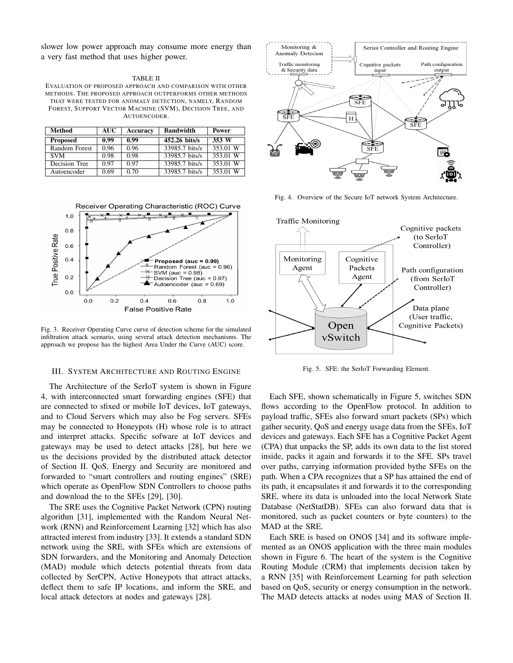slower low power approach may consume more energy than a very fast method that uses higher power.

#### TABLE II

EVALUATION OF PROPOSED APPROACH AND COMPARISON WITH OTHER METHODS. THE PROPOSED APPROACH OUTPERFORMS OTHER METHODS THAT WERE TESTED FOR ANOMALY DETECTION, NAMELY, RANDOM FOREST, SUPPORT VECTOR MACHINE (SVM), DECISION TREE, AND AUTOENCODER.

| Method          | <b>AUC</b> | Accuracy | <b>Bandwidth</b> | Power    |
|-----------------|------------|----------|------------------|----------|
| <b>Proposed</b> | 0.99       | 0.99     | 452.26 bits/s    | 353 W    |
| Random Forest   | 0.96       | 0.96     | 33985.7 bits/s   | 353.01 W |
| <b>SVM</b>      | 0.98       | 0.98     | 33985.7 bits/s   | 353.01 W |
| Decision Tree   | 0.97       | 0.97     | 33985.7 bits/s   | 353.01 W |
| Autoencoder     | 0.69       | 0.70     | 33985.7 bits/s   | 353.01 W |

Receiver Operating Characteristic (ROC) Curve



Fig. 3. Receiver Operating Curve curve of detection scheme for the simulated infiltration attack scenario, using several attack detection mechanisms. The approach we propose has the highest Area Under the Curve (AUC) score.

#### III. SYSTEM ARCHITECTURE AND ROUTING ENGINE

The Architecture of the SerIoT system is shown in Figure 4, with interconnected smart forwarding engines (SFE) that are connected to sfixed or mobile IoT devices, IoT gateways, and to Cloud Servers which may also be Fog servers. SFEs may be connected to Honeypots (H) whose role is to attract and interpret attacks. Specific sofware at IoT devices and gateways may be used to detect attacks [28], but here we us the decisions provided by the distributed attack detector of Section II. QoS, Energy and Security are monitored and forwarded to "smart controllers and routing engines" (SRE) which operate as OpenFlow SDN Controllers to choose paths and download the to the SFEs [29], [30].

The SRE uses the Cognitive Packet Network (CPN) routing algorithm [31], implemented with the Random Neural Network (RNN) and Reinforcement Learning [32] which has also attracted interest from industry [33]. It extends a standard SDN network using the SRE, with SFEs which are extensions of SDN forwarders, and the Monitoring and Anomaly Detection (MAD) module which detects potential threats from data collected by SerCPN, Active Honeypots that attract attacks, deflect them to safe IP locations, and inform the SRE, and local attack detectors at nodes and gateways [28].



Fig. 4. Overview of the Secure IoT network System Architecture.



Fig. 5. SFE: the SerIoT Forwarding Element.

Each SFE, shown schematically in Figure 5, switches SDN flows according to the OpenFlow protocol. In addition to payload traffic, SFEs also forward smart packets (SPs) which gather security, QoS and energy usage data from the SFEs, IoT devices and gateways. Each SFE has a Cognitive Packet Agent (CPA) that unpacks the SP, adds its own data to the list stored inside, packs it again and forwards it to the SFE. SPs travel over paths, carrying information provided bythe SFEs on the path. When a CPA recognizes that a SP has attained the end of its path, it encapsulates it and forwards it to the corresponding SRE, where its data is unloaded into the local Network State Database (NetStatDB). SFEs can also forward data that is monitored, such as packet counters or byte counters) to the MAD at the SRE.

Each SRE is based on ONOS [34] and its software implemented as an ONOS application with the three main modules shown in Figure 6. The heart of the system is the Cognitive Routing Module (CRM) that implements decision taken by a RNN [35] with Reinforcement Learning for path selection based on QoS, security or energy consumption in the network. The MAD detects attacks at nodes using MAS of Section II.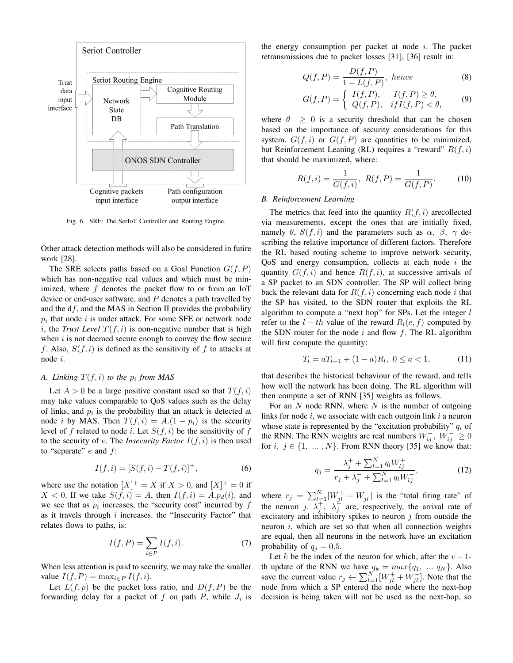

Fig. 6. SRE: The SerIoT Controller and Routing Engine.

Other attack detection methods will also be considered in futire work [28].

The SRE selects paths based on a Goal Function  $G(f, P)$ which has non-negative real values and which must be minimized, where  $f$  denotes the packet flow to or from an IoT device or end-user software, and  $P$  denotes a path travelled by and the  $df$ , and the MAS in Section II provides the probability  $p_i$  that node i is under attack. For some SFE or network node i, the *Trust Level*  $T(f, i)$  is non-negative number that is high when  $i$  is not deemed secure enough to convey the flow secure f. Also,  $S(f, i)$  is defined as the sensitivity of f to attacks at node i.

# *A. Linking*  $T(f, i)$  *to the*  $p_i$  *from MAS*

Let  $A > 0$  be a large positive constant used so that  $T(f, i)$ may take values comparable to QoS values such as the delay of links, and  $p_i$  is the probability that an attack is detected at node *i* by MAS. Then  $T(f, i) = A(1 - p_i)$  is the security level of f related to node i. Let  $S(f, i)$  be the sensitivity of f to the security of  $e$ . The *Insecurity Factor*  $I(f, i)$  is then used to "separate"  $e$  and  $f$ :

$$
I(f, i) = [S(f, i) - T(f, i)]^{+},
$$
\n(6)

where use the notation  $[X]^+ = X$  if  $X > 0$ , and  $[X]^+ = 0$  if  $X < 0$ . If we take  $S(f, i) = A$ , then  $I(f, i) = A.p_d(i)$ . and we see that as  $p_i$  increases, the "security cost" incurred by  $f$ as it travels through  $i$  increases. the "Insecurity Factor" that relates flows to paths, is:

$$
I(f, P) = \sum_{i \in P} I(f, i). \tag{7}
$$

When less attention is paid to security, we may take the smaller value  $I(f, P) = \max_{i \in P} I(f, i)$ .

Let  $L(f, p)$  be the packet loss ratio, and  $D(f, P)$  be the forwarding delay for a packet of  $f$  on path  $P$ , while  $J_i$  is the energy consumption per packet at node  $i$ . The packet retransmissions due to packet losses [31], [36] result in:

$$
Q(f, P) = \frac{D(f, P)}{1 - L(f, P)}, \text{ hence}
$$
\n(8)

$$
G(f, P) = \begin{cases} I(f, P), & I(f, P) \ge \theta, \\ Q(f, P), & if I(f, P) < \theta, \end{cases}
$$
 (9)

where  $\theta \geq 0$  is a security threshold that can be chosen based on the importance of security considerations for this system.  $G(f, i)$  or  $G(f, P)$  are quantities to be minimized, but Reinforcement Leaning (RL) requires a "reward"  $R(f, i)$ that should be maximized, where:

$$
R(f, i) = \frac{1}{G(f, i)}, \ R(f, P) = \frac{1}{G(f, P)}.
$$
 (10)

#### *B. Reinforcement Learning*

The metrics that feed into the quantity  $R(f, i)$  arecollected via measurements, except the ones that are initially fixed, namely  $\theta$ ,  $S(f, i)$  and the parameters such as  $\alpha$ ,  $\beta$ ,  $\gamma$  describing the relative importance of different factors. Therefore the RL based routing scheme to improve network security, QoS and energy consumption, collects at each node  $i$  the quantity  $G(f, i)$  and hence  $R(f, i)$ , at successive arrivals of a SP packet to an SDN controller. The SP will collect bring back the relevant data for  $R(f, i)$  concerning each node i that the SP has visited, to the SDN router that exploits the RL algorithm to compute a "next hop" for SPs. Let the integer  $l$ refer to the  $l - th$  value of the reward  $R_l(e, f)$  computed by the SDN router for the node  $i$  and flow  $f$ . The RL algorithm will first compute the quantity:

$$
T_l = aT_{l-1} + (1 - a)R_l, \ 0 \le a < 1,\tag{11}
$$

that describes the historical behaviour of the reward, and tells how well the network has been doing. The RL algorithm will then compute a set of RNN [35] weights as follows.

For an  $N$  node RNN, where  $N$  is the number of outgoing links for node  $i$ , we associate with each outgoin link  $i$  a neuron whose state is represented by the "excitation probability"  $q_i$  of the RNN. The RNN weights are real numbers  $W_{ij}^+$ ,  $W_{ij}^- \ge 0$ for  $i, j \in \{1, ..., N\}$ . From RNN theory [35] we know that:

$$
q_j = \frac{\lambda_j^+ + \sum_{l=1}^N q_l W_{lj}^+}{r_j + \lambda_j^- + \sum_{l=1}^N q_l W_{lj}^-},
$$
\n(12)

where  $r_j = \sum_{l=1}^{N} [W_{jl}^+ + W_{jl}^-]$  is the "total firing rate" of the neuron j.  $\lambda_j^+$ ,  $\lambda_j^-$  are, respectively, the arrival rate of excitatory and inhibitory spikes to neuron  $j$  from outside the neuron i, which are set so that when all connection weights are equal, then all neurons in the network have an excitation probability of  $q_j = 0.5$ .

Let k be the index of the neuron for which, after the  $v - 1$ th update of the RNN we have  $q_k = max\{q_1, ..., q_N\}$ . Also save the current value  $r_j \leftarrow \sum_{l=1}^{N} [W_{jl}^+ + W_{jl}^-]$ . Note that the node from which a SP entered the node where the next-hop decision is being taken will not be used as the next-hop, so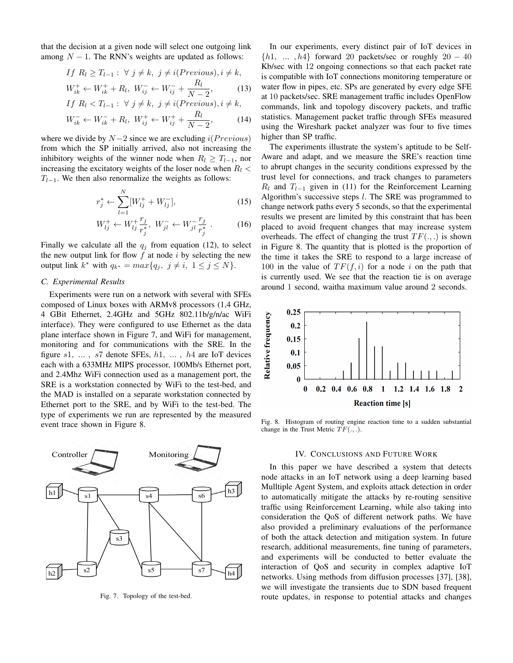that the decision at a given node will select one outgoing link among  $N - 1$ . The RNN's weights are updated as follows:

$$
If \ R_l \ge T_{l-1} : \ \forall \ j \neq k, \ j \neq i (Previous), i \neq k,
$$
  

$$
W_{ik}^+ \leftarrow W_{ik}^+ + R_l, \ W_{ij}^- \leftarrow W_{ij}^- + \frac{R_l}{N - 2}, \tag{13}
$$

$$
If \ R_l < T_{l-1}: \ \forall \ j \neq k, \ j \neq i \text{ (Previous)}, i \neq k,
$$
\n
$$
If \ R_l < T_{l-1}: \ \forall \ j \neq k, \ j \neq i \text{ (Previous)}, i \neq k,
$$

$$
W_{ik}^- \leftarrow W_{ik}^- + R_l, \ W_{ij}^+ \leftarrow W_{ij}^+ + \frac{R_l}{N - 2}, \tag{14}
$$

where we divide by  $N-2$  since we are excluding  $i(Previous)$ from which the SP initially arrived, also not increasing the inhibitory weights of the winner node when  $R_l \geq T_{l-1}$ , nor increasing the excitatory weights of the loser node when  $R_l <$  $T_{l-1}$ . We then also renormalize the weights as follows:

$$
r_j^* \leftarrow \sum_{l=1}^N [W_{lj}^+ + W_{lj}^-],\tag{15}
$$

$$
W_{lj}^{+} \leftarrow W_{lj}^{+} \frac{r_j}{r_j^{*}}, \ W_{jl}^{-} \leftarrow W_{jl}^{-} \frac{r_j}{r_j^{*}} \ . \tag{16}
$$

Finally we calculate all the  $q_j$  from equation (12), to select the new output link for flow  $f$  at node  $i$  by selecting the new output link  $k^*$  with  $q_{k^*} = max\{q_j, j \neq i, 1 \leq j \leq N\}.$ 

#### *C. Experimental Results*

Experiments were run on a network with several with SFEs composed of Linux boxes with ARMv8 processors (1,4 GHz, 4 GBit Ethernet, 2.4GHz and 5GHz 802.11b/g/n/ac WiFi interface). They were configured to use Ethernet as the data plane interface shown in Figure 7, and WiFi for management, monitoring and for communications with the SRE. In the figure  $s1, \ldots, s7$  denote SFEs,  $h1, \ldots, h4$  are IoT devices each with a 633MHz MIPS processor, 100Mb/s Ethernet port, and 2.4Mhz WiFi connection used as a management port, the SRE is a workstation connected by WiFi to the test-bed, and the MAD is installed on a separate workstation connected by Ethernet port to the SRE, and by WiFi to the test-bed. The type of experiments we run are represented by the measured event trace shown in Figure 8.



Fig. 7. Topology of the test-bed.

In our experiments, every distinct pair of IoT devices in  $\{h1, \ldots, h4\}$  forward 20 packets/sec or roughly  $20 - 40$ Kb/sec with 12 ongoing connections so that each packet rate is compatible with IoT connections monitoring temperature or water flow in pipes, etc. SPs are generated by every edge SFE at 10 packets/sec. SRE management traffic includes OpenFlow commands, link and topology discovery packets, and traffic statistics. Management packet traffic through SFEs measured using the Wireshark packet analyzer was four to five times higher than SP traffic.

The experiments illustrate the system's aptitude to be Self-Aware and adapt, and we measure the SRE's reaction time to abrupt changes in the security conditions expressed by the trust level for connections, and track changes to parameters  $R_l$  and  $T_{l-1}$  given in (11) for the Reinforcement Learning Algorithm's successive steps  $l$ . The SRE was programmed to change network paths every 5 seconds, so that the experimental results we present are limited by this constraint that has been placed to avoid frequent changes that may increase system overheads. The effect of changing the trust  $TF(.,.)$  is shown in Figure 8. The quantity that is plotted is the proportion of the time it takes the SRE to respond to a large increase of 100 in the value of  $TF(f, i)$  for a node i on the path that is currently used. We see that the reaction tie is on average around 1 second, waitha maximum value around 2 seconds.



Fig. 8. Histogram of routing engine reaction time to a sudden substantial change in the Trust Metric  $TF(.,.).$ 

#### IV. CONCLUSIONS AND FUTURE WORK

In this paper we have described a system that detects node attacks in an IoT network using a deep learning based Mulltiple Agent System, and exploits attack detection in order to automatically mitigate the attacks by re-routing sensitive traffic using Reinforcement Learning, while also taking into consideration the QoS of different network paths. We have also provided a preliminary evaluations of the performance of both the attack detection and mitigation system. In future research, additional measurements, fine tuning of parameters, and experiments will be conducted to better evaluate the interaction of QoS and security in complex adaptive IoT networks. Using methods from diffusion processes [37], [38], we will investigate the transients due to SDN based frequent route updates, in response to potential attacks and changes